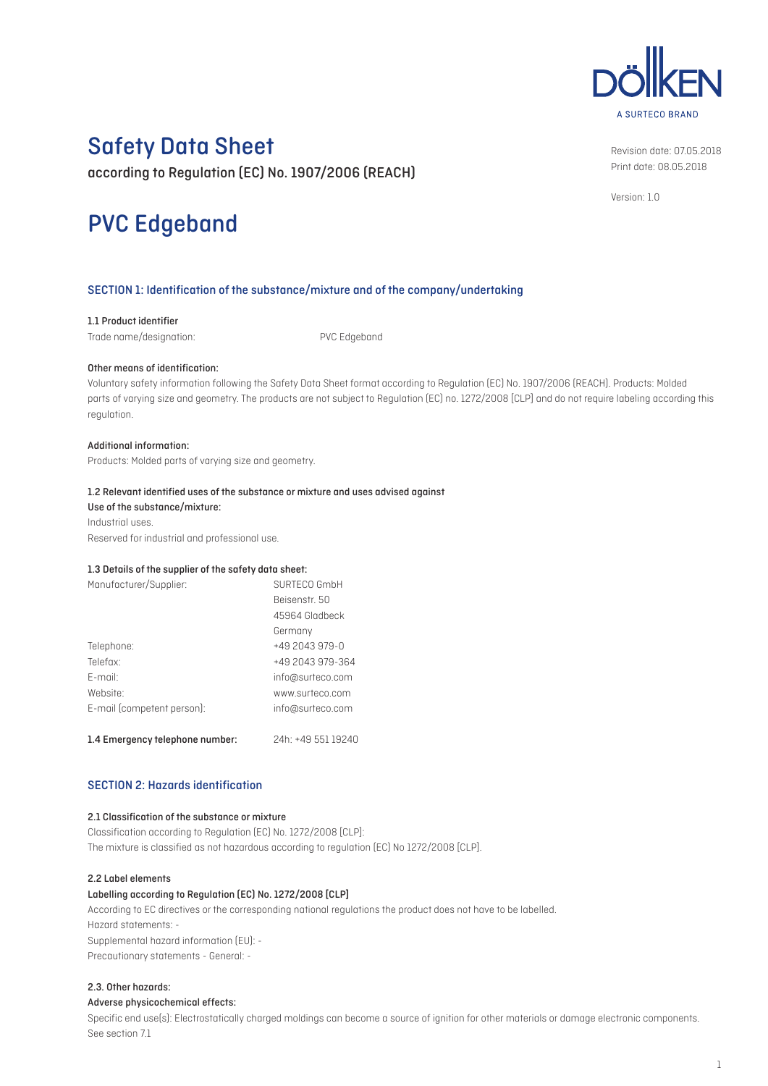# A SURTECO BRAND

# Safety Data Sheet

according to Regulation (EC) No. 1907/2006 (REACH)

# PVC Edgeband

Revision date: 07.05.2018 Print date: 08.05.2018

Version: 1.0

# SECTION 1: Identification of the substance/mixture and of the company/undertaking

#### 1.1 Product identifier

Trade name/designation: PVC Edgeband

#### Other means of identification:

Voluntary safety information following the Safety Data Sheet format according to Regulation (EC) No. 1907/2006 (REACH). Products: Molded parts of varying size and geometry. The products are not subject to Regulation (EC) no. 1272/2008 [CLP] and do not require labeling according this regulation.

#### Additional information:

Products: Molded parts of varying size and geometry.

#### 1.2 Relevant identified uses of the substance or mixture and uses advised against

Use of the substance/mixture: Industrial uses. Reserved for industrial and professional use.

#### 1.3 Details of the supplier of the safety data sheet:

| Manufacturer/Supplier:     | SURTECO GmbH     |  |  |
|----------------------------|------------------|--|--|
|                            | Beisenstr. 50    |  |  |
|                            | 45964 Gladbeck   |  |  |
|                            | Germany          |  |  |
| Telephone:                 | $+492043979 - 0$ |  |  |
| Telefax:                   | +49 2043 979-364 |  |  |
| $F$ -mail:                 | info@surteco.com |  |  |
| Website:                   | www.surteco.com  |  |  |
| E-mail (competent person): | info@surteco.com |  |  |
|                            |                  |  |  |

1.4 Emergency telephone number: 24h: +49 551 19240

#### SECTION 2: Hazards identification

# 2.1 Classification of the substance or mixture

Classification according to Regulation (EC) No. 1272/2008 [CLP]: The mixture is classified as not hazardous according to regulation (EC) No 1272/2008 [CLP].

#### 2.2 Label elements

#### Labelling according to Regulation (EC) No. 1272/2008 [CLP]

According to EC directives or the corresponding national regulations the product does not have to be labelled. Hazard statements: - Supplemental hazard information (EU): - Precautionary statements - General: -

#### 2.3. Other hazards:

#### Adverse physicochemical effects:

Specific end use(s): Electrostatically charged moldings can become a source of ignition for other materials or damage electronic components. See section 7.1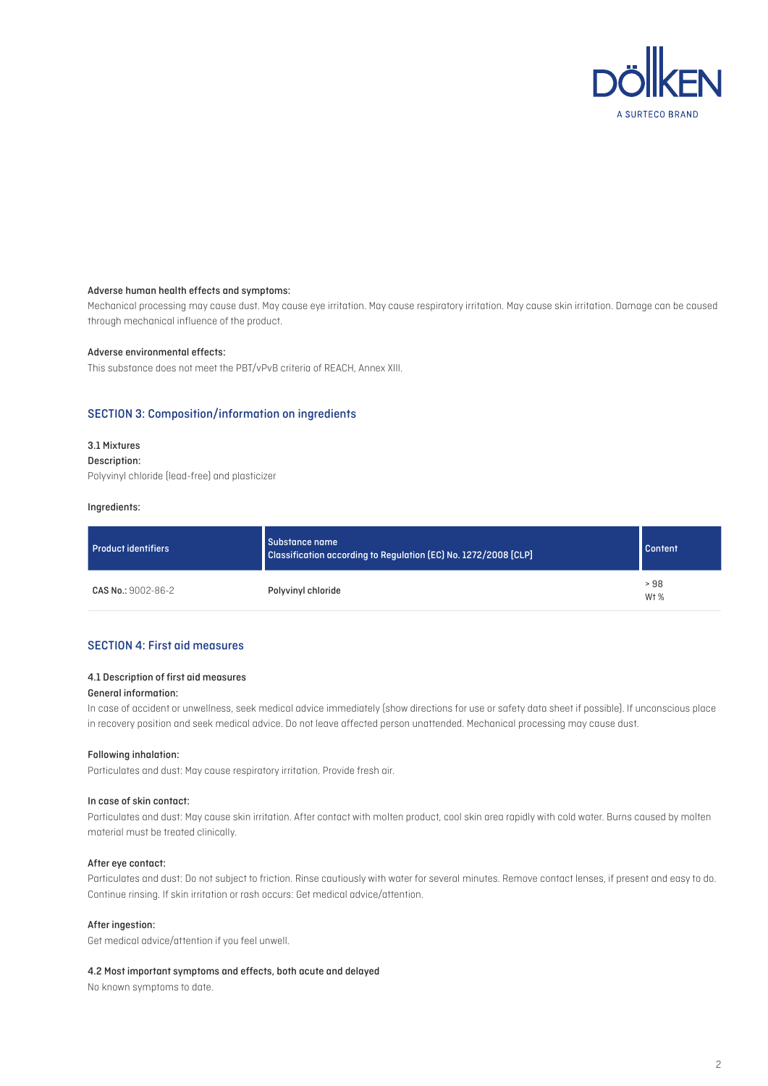

#### Adverse human health effects and symptoms:

Mechanical processing may cause dust. May cause eye irritation. May cause respiratory irritation. May cause skin irritation. Damage can be caused through mechanical influence of the product.

#### Adverse environmental effects:

This substance does not meet the PBT/vPvB criteria of REACH, Annex XIII.

#### SECTION 3: Composition/information on ingredients

#### 3.1 Mixtures

#### Description:

Polyvinyl chloride (lead-free) and plasticizer

#### Ingredients:

| <b>Product identifiers</b> | Substance name<br>Classification according to Regulation (EC) No. 1272/2008 [CLP] | <b>Content</b>          |
|----------------------------|-----------------------------------------------------------------------------------|-------------------------|
| CAS No.: 9002-86-2         | Polyvinyl chloride                                                                | >98<br>W <sub>t</sub> % |

# SECTION 4: First aid measures

#### 4.1 Description of first aid measures

#### General information:

In case of accident or unwellness, seek medical advice immediately (show directions for use or safety data sheet if possible). If unconscious place in recovery position and seek medical advice. Do not leave affected person unattended. Mechanical processing may cause dust.

#### Following inhalation:

Particulates and dust: May cause respiratory irritation. Provide fresh air.

#### In case of skin contact:

Particulates and dust: May cause skin irritation. After contact with molten product, cool skin area rapidly with cold water. Burns caused by molten material must be treated clinically.

#### After eye contact:

Particulates and dust: Do not subject to friction. Rinse cautiously with water for several minutes. Remove contact lenses, if present and easy to do. Continue rinsing. If skin irritation or rash occurs: Get medical advice/attention.

#### After ingestion:

Get medical advice/attention if you feel unwell.

#### 4.2 Most important symptoms and effects, both acute and delayed

No known symptoms to date.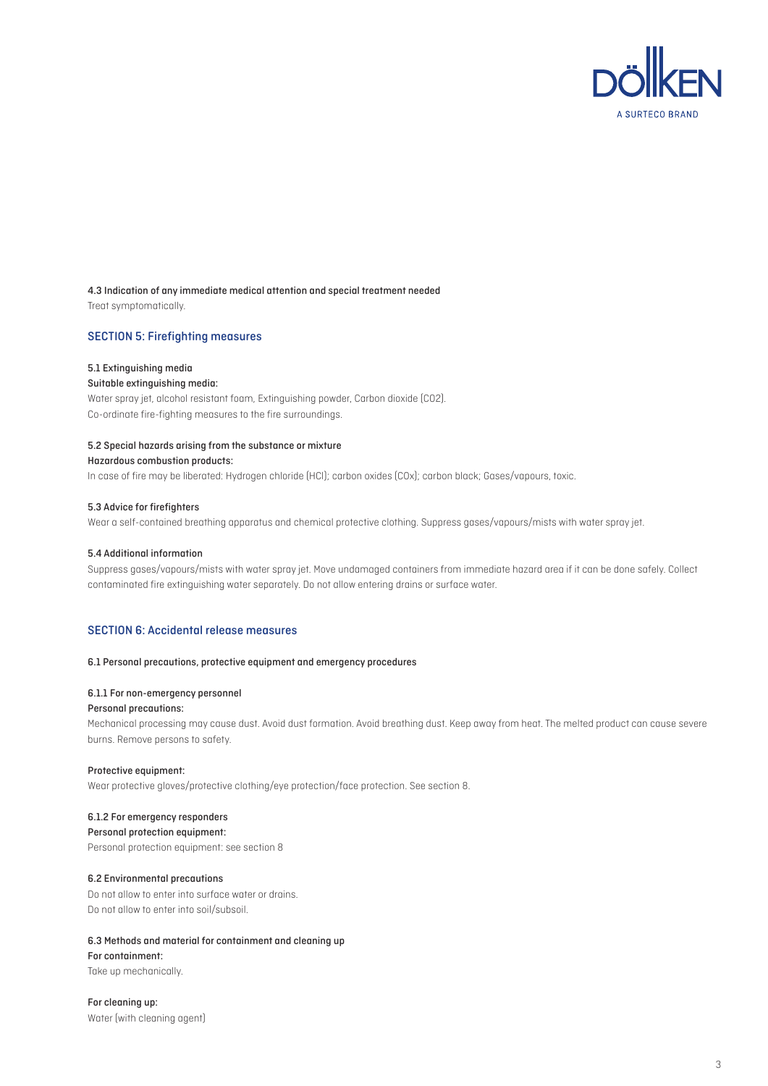

# 4.3 Indication of any immediate medical attention and special treatment needed

Treat symptomatically.

#### SECTION 5: Firefighting measures

#### 5.1 Extinguishing media

#### Suitable extinguishing media:

Water spray jet, alcohol resistant foam, Extinguishing powder, Carbon dioxide (CO2). Co-ordinate fire-fighting measures to the fire surroundings.

#### 5.2 Special hazards arising from the substance or mixture

#### Hazardous combustion products:

In case of fire may be liberated: Hydrogen chloride (HCl); carbon oxides (COx); carbon black; Gases/vapours, toxic.

#### 5.3 Advice for firefighters

Wear a self-contained breathing apparatus and chemical protective clothing. Suppress gases/vapours/mists with water spray jet.

#### 5.4 Additional information

Suppress gases/vapours/mists with water spray jet. Move undamaged containers from immediate hazard area if it can be done safely. Collect contaminated fire extinguishing water separately. Do not allow entering drains or surface water.

# SECTION 6: Accidental release measures

#### 6.1 Personal precautions, protective equipment and emergency procedures

# 6.1.1 For non-emergency personnel

#### Personal precautions:

Mechanical processing may cause dust. Avoid dust formation. Avoid breathing dust. Keep away from heat. The melted product can cause severe burns. Remove persons to safety.

#### Protective equipment:

Wear protective gloves/protective clothing/eye protection/face protection. See section 8.

# 6.1.2 For emergency responders

Personal protection equipment: Personal protection equipment: see section 8

# 6.2 Environmental precautions

Do not allow to enter into surface water or drains. Do not allow to enter into soil/subsoil.

# 6.3 Methods and material for containment and cleaning up

#### For containment:

Take up mechanically.

For cleaning up: Water (with cleaning agent)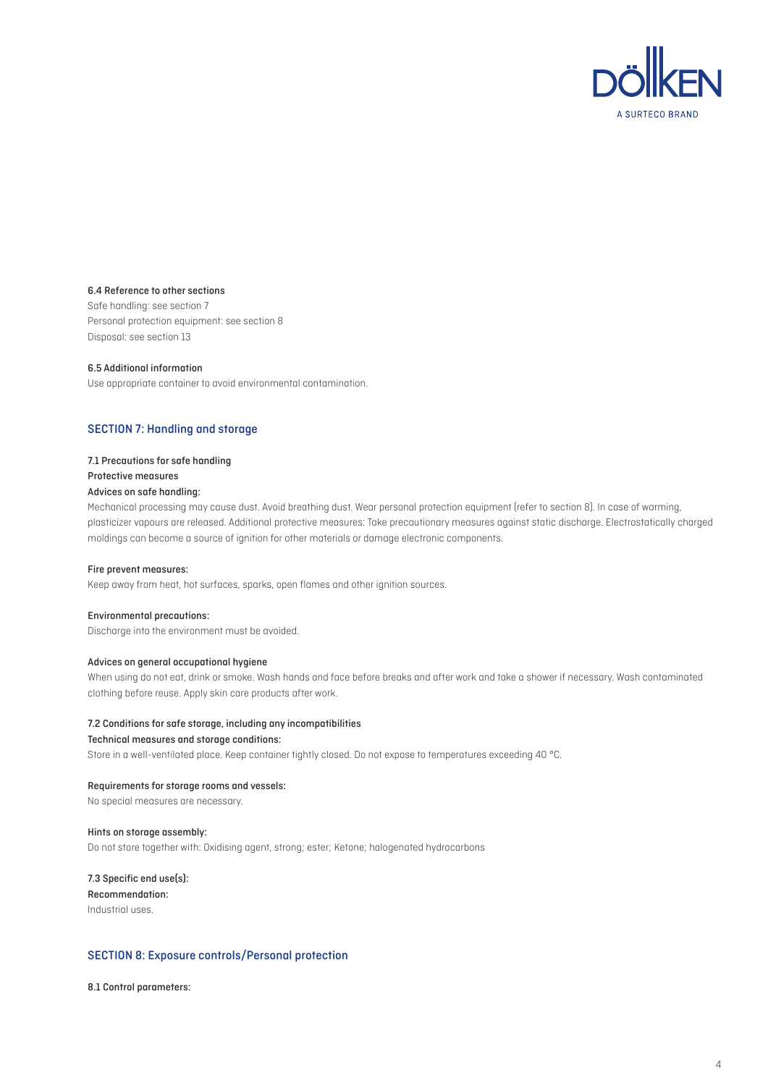

#### 6.4 Reference to other sections

Safe handling: see section 7 Personal protection equipment: see section 8 Disposal: see section 13

#### 6.5 Additional information

Use appropriate container to avoid environmental contamination.

# SECTION 7: Handling and storage

#### 7.1 Precautions for safe handling

# Protective measures

#### Advices on safe handling:

Mechanical processing may cause dust. Avoid breathing dust. Wear personal protection equipment (refer to section 8). In case of warming, plasticizer vapours are released. Additional protective measures: Take precautionary measures against static discharge. Electrostatically charged moldings can become a source of ignition for other materials or damage electronic components.

#### Fire prevent measures:

Keep away from heat, hot surfaces, sparks, open flames and other ignition sources.

#### Environmental precautions:

Discharge into the environment must be avoided.

#### Advices on general occupational hygiene

When using do not eat, drink or smoke. Wash hands and face before breaks and after work and take a shower if necessary. Wash contaminated clothing before reuse. Apply skin care products after work.

#### 7.2 Conditions for safe storage, including any incompatibilities

#### Technical measures and storage conditions:

Store in a well-ventilated place. Keep container tightly closed. Do not expose to temperatures exceeding 40 °C.

#### Requirements for storage rooms and vessels:

No special measures are necessary.

#### Hints on storage assembly:

Do not store together with: Oxidising agent, strong; ester; Ketone; halogenated hydrocarbons

# 7.3 Specific end use(s): Recommendation: Industrial uses.

#### SECTION 8: Exposure controls/Personal protection

8.1 Control parameters: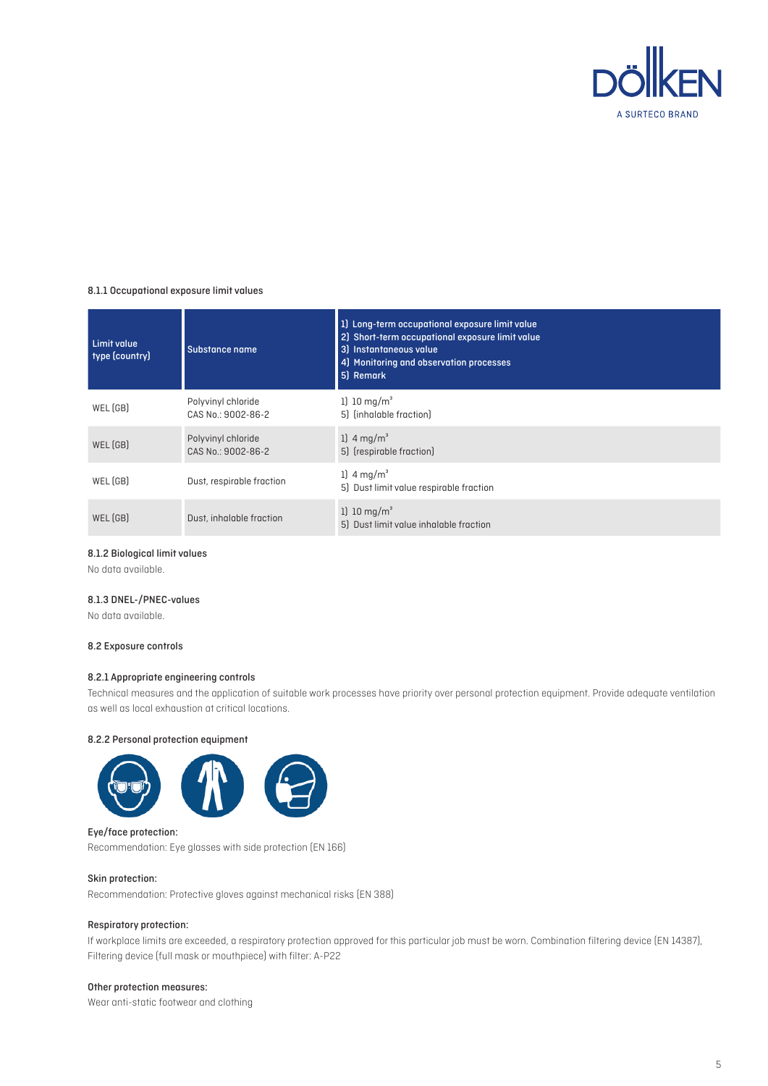

#### 8.1.1 Occupational exposure limit values

| <b>Limit value</b><br>type (country) | Substance name                           | 1) Long-term occupational exposure limit value<br>2) Short-term occupational exposure limit value<br>3) Instantaneous value<br>4) Monitoring and observation processes<br>5) Remark |
|--------------------------------------|------------------------------------------|-------------------------------------------------------------------------------------------------------------------------------------------------------------------------------------|
| WEL (GB)                             | Polyvinyl chloride<br>CAS No.: 9002-86-2 | 1) 10 $mq/m^3$<br>5) (inhalable fraction)                                                                                                                                           |
| WEL (GB)                             | Polyvinyl chloride<br>CAS No.: 9002-86-2 | 1) $4 \,\mathrm{mq/m}^3$<br>5) (respirable fraction)                                                                                                                                |
| WEL(GB)                              | Dust, respirable fraction                | 1) $4 \,\mathrm{mq/m}^3$<br>5) Dust limit value respirable fraction                                                                                                                 |
| WEL(GB)                              | Dust, inhalable fraction                 | 1) 10 $mg/m^3$<br>5) Dust limit value inhalable fraction                                                                                                                            |

#### 8.1.2 Biological limit values

No data available.

# 8.1.3 DNEL-/PNEC-values

No data available.

#### 8.2 Exposure controls

#### 8.2.1 Appropriate engineering controls

Technical measures and the application of suitable work processes have priority over personal protection equipment. Provide adequate ventilation as well as local exhaustion at critical locations.

#### 8.2.2 Personal protection equipment



#### Eye/face protection:

Recommendation: Eye glasses with side protection (EN 166)

#### Skin protection:

Recommendation: Protective gloves against mechanical risks (EN 388)

#### Respiratory protection:

If workplace limits are exceeded, a respiratory protection approved for this particular job must be worn. Combination filtering device (EN 14387), Filtering device (full mask or mouthpiece) with filter: A-P22

#### Other protection measures:

Wear anti-static footwear and clothing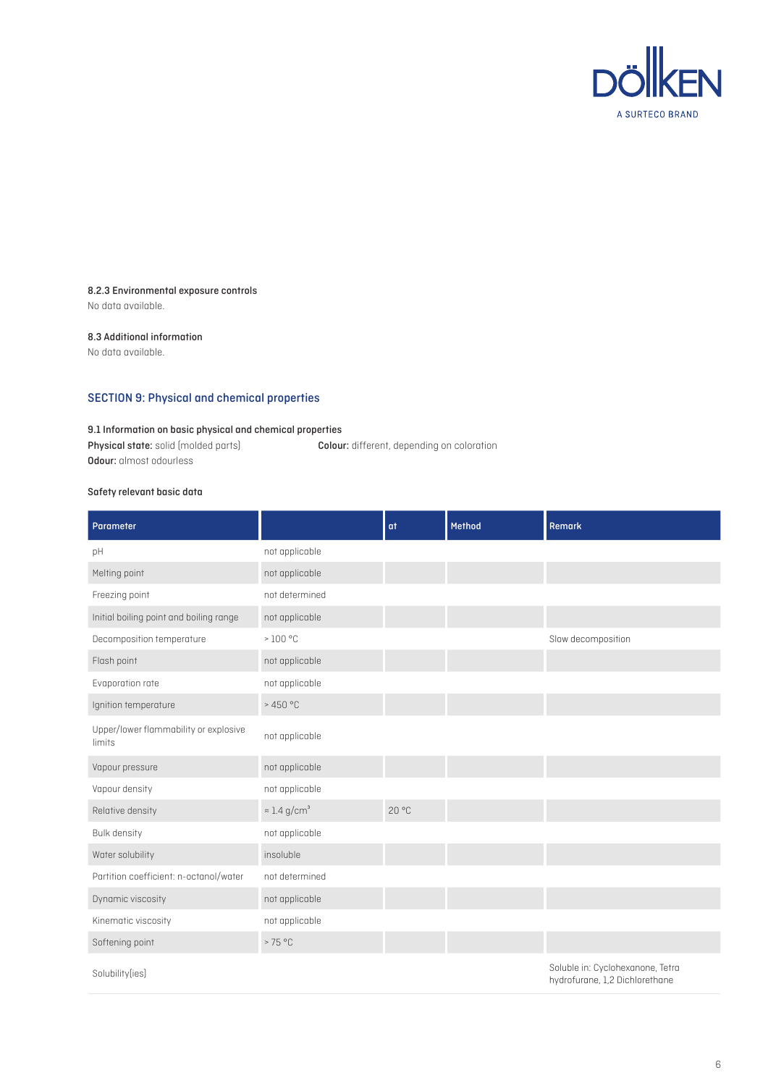

#### 8.2.3 Environmental exposure controls

No data available.

#### 8.3 Additional information

No data available.

# SECTION 9: Physical and chemical properties

# 9.1 Information on basic physical and chemical properties

Physical state: solid (molded parts) Colour: different, depending on coloration Odour: almost odourless

# Safety relevant basic data

| Parameter                                       |                                 | at   | Method | <b>Remark</b>                                                      |
|-------------------------------------------------|---------------------------------|------|--------|--------------------------------------------------------------------|
| pH                                              | not applicable                  |      |        |                                                                    |
| Melting point                                   | not applicable                  |      |        |                                                                    |
| Freezing point                                  | not determined                  |      |        |                                                                    |
| Initial boiling point and boiling range         | not applicable                  |      |        |                                                                    |
| Decomposition temperature                       | $>100$ °C                       |      |        | Slow decomposition                                                 |
| Flash point                                     | not applicable                  |      |        |                                                                    |
| Evaporation rate                                | not applicable                  |      |        |                                                                    |
| Ignition temperature                            | >450 °C                         |      |        |                                                                    |
| Upper/lower flammability or explosive<br>limits | not applicable                  |      |        |                                                                    |
| Vapour pressure                                 | not applicable                  |      |        |                                                                    |
| Vapour density                                  | not applicable                  |      |        |                                                                    |
| Relative density                                | $\approx$ 1.4 g/cm <sup>3</sup> | 20°C |        |                                                                    |
| Bulk density                                    | not applicable                  |      |        |                                                                    |
| Water solubility                                | insoluble                       |      |        |                                                                    |
| Partition coefficient: n-octanol/water          | not determined                  |      |        |                                                                    |
| Dynamic viscosity                               | not applicable                  |      |        |                                                                    |
| Kinematic viscosity                             | not applicable                  |      |        |                                                                    |
| Softening point                                 | >75°C                           |      |        |                                                                    |
| Solubility(ies)                                 |                                 |      |        | Soluble in: Cyclohexanone, Tetra<br>hydrofurane, 1,2 Dichlorethane |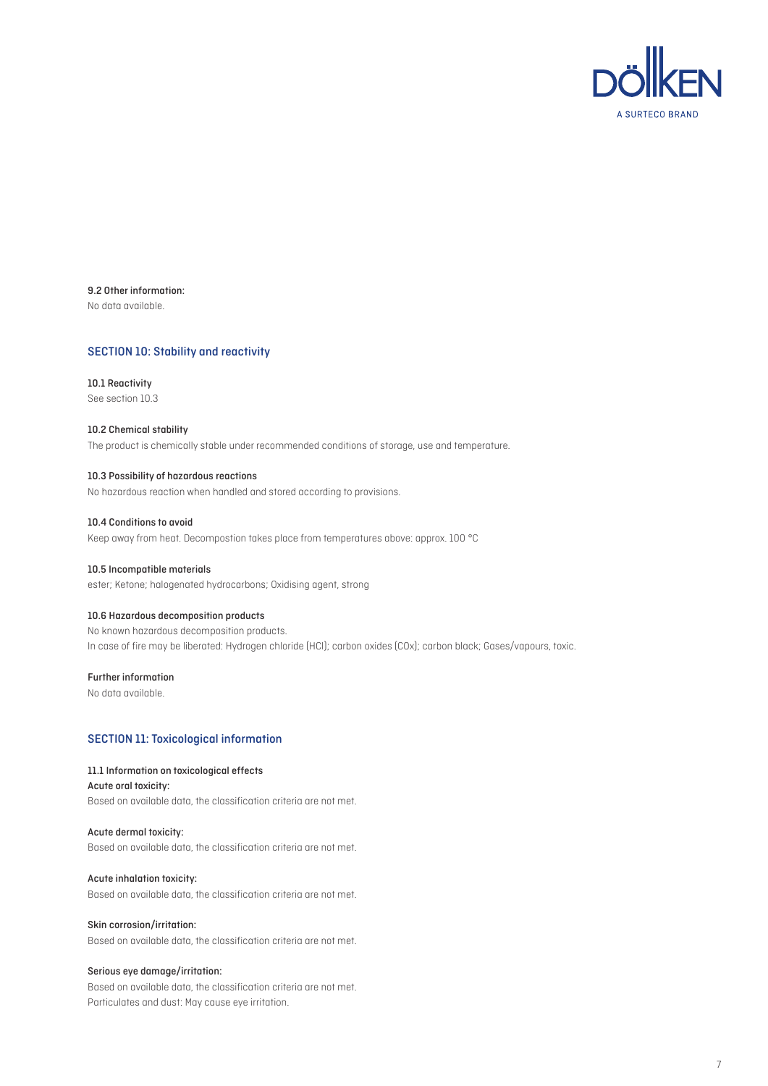

9.2 Other information: No data available.

#### SECTION 10: Stability and reactivity

10.1 Reactivity See section 10.3

#### 10.2 Chemical stability The product is chemically stable under recommended conditions of storage, use and temperature.

10.3 Possibility of hazardous reactions No hazardous reaction when handled and stored according to provisions.

10.4 Conditions to avoid Keep away from heat. Decompostion takes place from temperatures above: approx. 100 °C

# 10.5 Incompatible materials

ester; Ketone; halogenated hydrocarbons; Oxidising agent, strong

#### 10.6 Hazardous decomposition products

No known hazardous decomposition products. In case of fire may be liberated: Hydrogen chloride (HCl); carbon oxides (COx); carbon black; Gases/vapours, toxic.

#### Further information

No data available.

#### SECTION 11: Toxicological information

#### 11.1 Information on toxicological effects

Acute oral toxicity: Based on available data, the classification criteria are not met.

Acute dermal toxicity: Based on available data, the classification criteria are not met.

Acute inhalation toxicity: Based on available data, the classification criteria are not met.

#### Skin corrosion/irritation:

Based on available data, the classification criteria are not met.

#### Serious eye damage/irritation:

Based on available data, the classification criteria are not met. Particulates and dust: May cause eye irritation.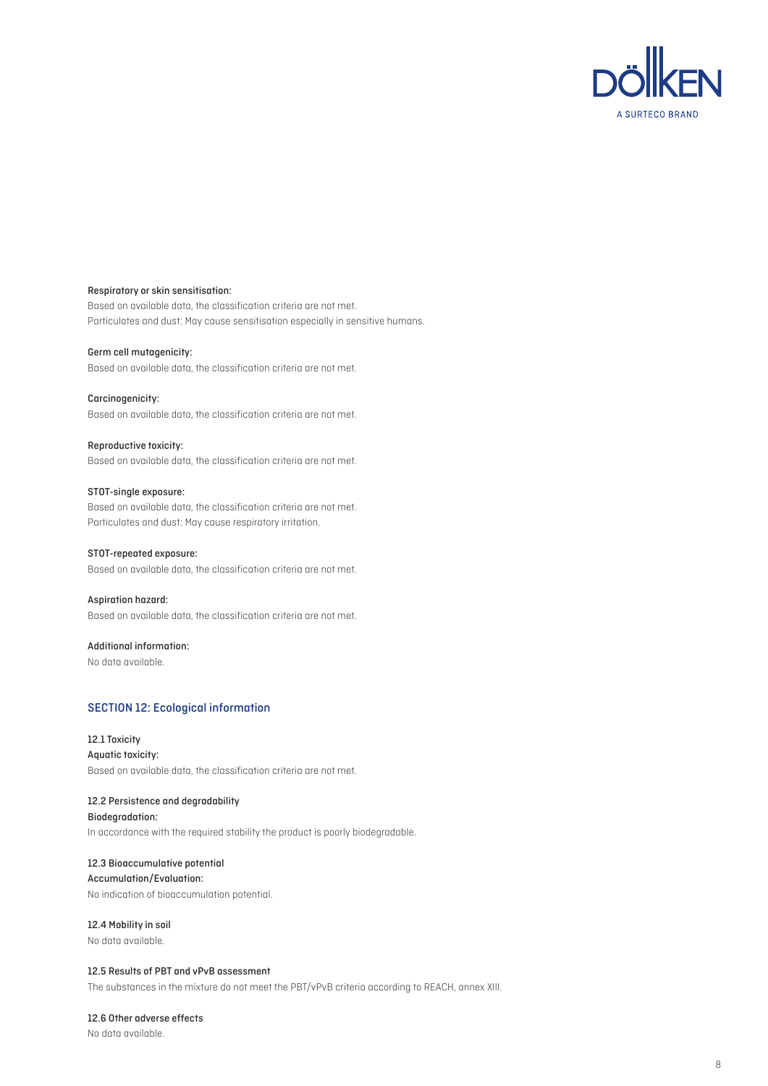

#### Respiratory or skin sensitisation:

Based on available data, the classification criteria are not met. Particulates and dust: May cause sensitisation especially in sensitive humans.

#### Germ cell mutagenicity:

Based on available data, the classification criteria are not met.

#### Carcinogenicity:

Based on available data, the classification criteria are not met.

#### Reproductive toxicity:

Based on available data, the classification criteria are not met.

# STOT-single exposure: Based on available data, the classification criteria are not met. Particulates and dust: May cause respiratory irritation.

#### STOT-repeated exposure:

Based on available data, the classification criteria are not met.

#### Aspiration hazard:

Based on available data, the classification criteria are not met.

# Additional information:

No data available.

# SECTION 12: Ecological information

12.1 Toxicity Aquatic toxicity: Based on available data, the classification criteria are not met.

#### 12.2 Persistence and degradability

Biodegradation: In accordance with the required stability the product is poorly biodegradable.

#### 12.3 Bioaccumulative potential

Accumulation/Evaluation: No indication of bioaccumulation potential.

# 12.4 Mobility in soil

No data available.

# 12.5 Results of PBT and vPvB assessment

The substances in the mixture do not meet the PBT/vPvB criteria according to REACH, annex XIII.

#### 12.6 Other adverse effects

No data available.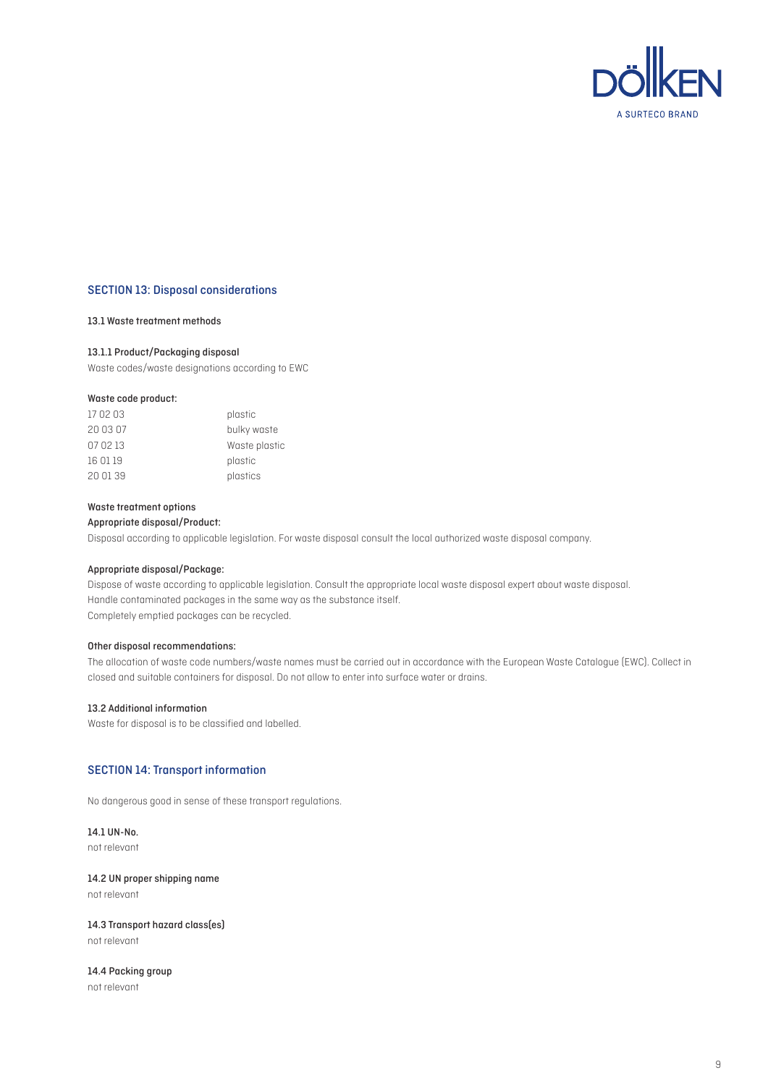

#### SECTION 13: Disposal considerations

#### 13.1 Waste treatment methods

#### 13.1.1 Product/Packaging disposal

Waste codes/waste designations according to EWC

#### Waste code product:

| 170203   | plastic       |
|----------|---------------|
| 20 03 07 | bulky waste   |
| 07 02 13 | Waste plastic |
| 16 01 19 | plastic       |
| 20 01 39 | plastics      |

#### Waste treatment options

Appropriate disposal/Product:

Disposal according to applicable legislation. For waste disposal consult the local authorized waste disposal company.

#### Appropriate disposal/Package:

Dispose of waste according to applicable legislation. Consult the appropriate local waste disposal expert about waste disposal. Handle contaminated packages in the same way as the substance itself. Completely emptied packages can be recycled.

#### Other disposal recommendations:

The allocation of waste code numbers/waste names must be carried out in accordance with the European Waste Catalogue (EWC). Collect in closed and suitable containers for disposal. Do not allow to enter into surface water or drains.

#### 13.2 Additional information

Waste for disposal is to be classified and labelled.

# SECTION 14: Transport information

No dangerous good in sense of these transport regulations.

14.1 UN-No. not relevant

# 14.2 UN proper shipping name

not relevant

# 14.3 Transport hazard class(es)

not relevant

#### 14.4 Packing group not relevant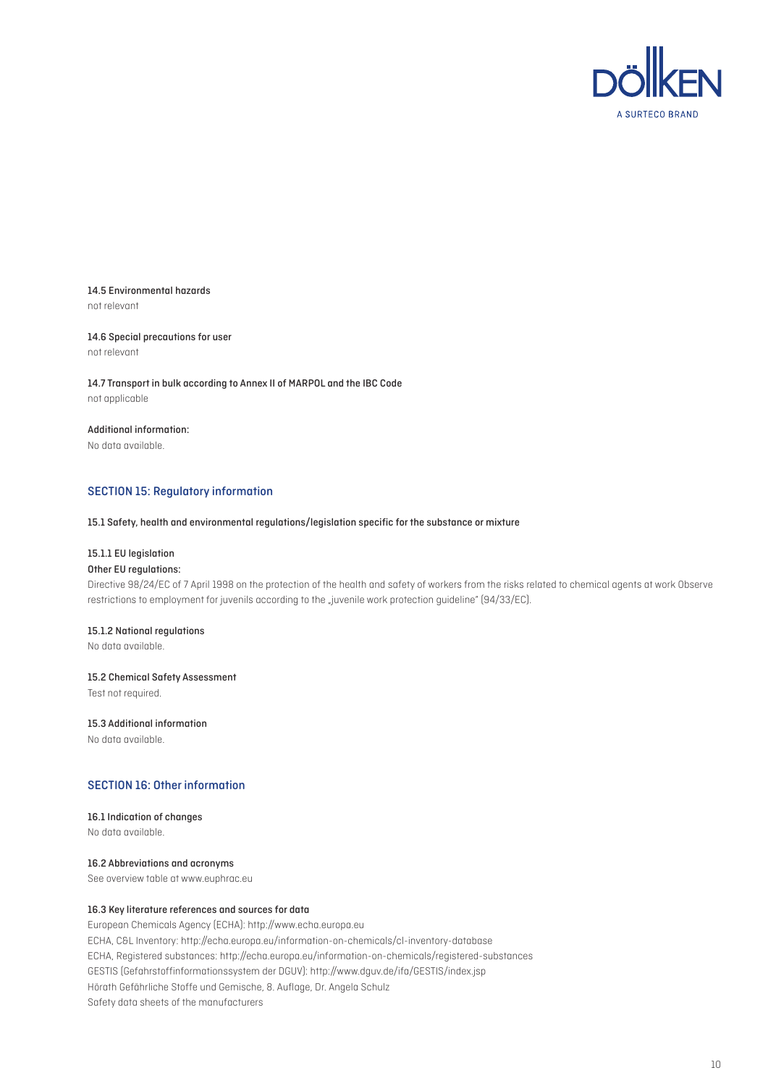

# 14.5 Environmental hazards

not relevant

#### 14.6 Special precautions for user not relevant

14.7 Transport in bulk according to Annex II of MARPOL and the IBC Code not applicable

# Additional information:

No data available.

# SECTION 15: Regulatory information

#### 15.1 Safety, health and environmental regulations/legislation specific for the substance or mixture

#### 15.1.1 EU legislation

#### Other EU regulations:

Directive 98/24/EC of 7 April 1998 on the protection of the health and safety of workers from the risks related to chemical agents at work Observe restrictions to employment for juvenils according to the "juvenile work protection guideline" (94/33/EC).

#### 15.1.2 National regulations

No data available.

#### 15.2 Chemical Safety Assessment

Test not required.

#### 15.3 Additional information

No data available.

# SECTION 16: Other information

# 16.1 Indication of changes

No data available.

# 16.2 Abbreviations and acronyms

See overview table at www.euphrac.eu

# 16.3 Key literature references and sources for data

European Chemicals Agency (ECHA): http://www.echa.europa.eu ECHA, C&L Inventory: http://echa.europa.eu/information-on-chemicals/cl-inventory-database ECHA, Registered substances: http://echa.europa.eu/information-on-chemicals/registered-substances GESTIS (Gefahrstoffinformationssystem der DGUV): http://www.dguv.de/ifa/GESTIS/index.jsp Hörath Gefährliche Stoffe und Gemische, 8. Auflage, Dr. Angela Schulz Safety data sheets of the manufacturers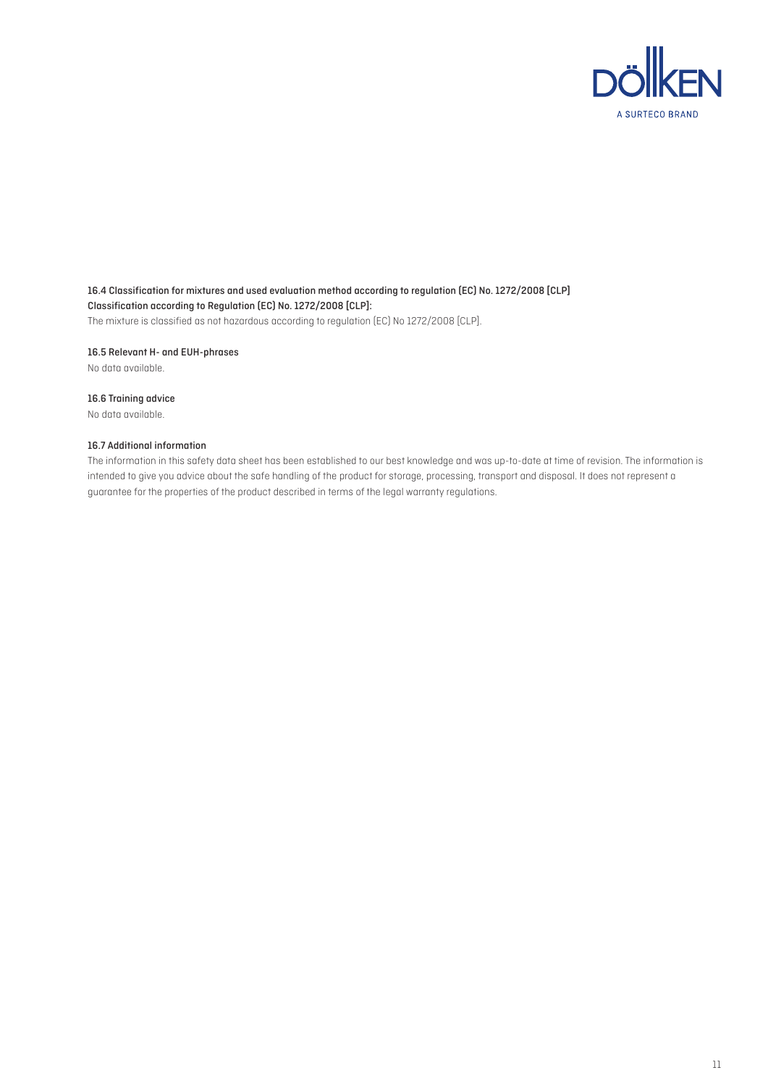

16.4 Classification for mixtures and used evaluation method according to regulation (EC) No. 1272/2008 [CLP] Classification according to Regulation (EC) No. 1272/2008 [CLP]: The mixture is classified as not hazardous according to regulation (EC) No 1272/2008 [CLP].

16.5 Relevant H- and EUH-phrases

No data available.

#### 16.6 Training advice

No data available.

#### 16.7 Additional information

The information in this safety data sheet has been established to our best knowledge and was up-to-date at time of revision. The information is intended to give you advice about the safe handling of the product for storage, processing, transport and disposal. It does not represent a guarantee for the properties of the product described in terms of the legal warranty regulations.